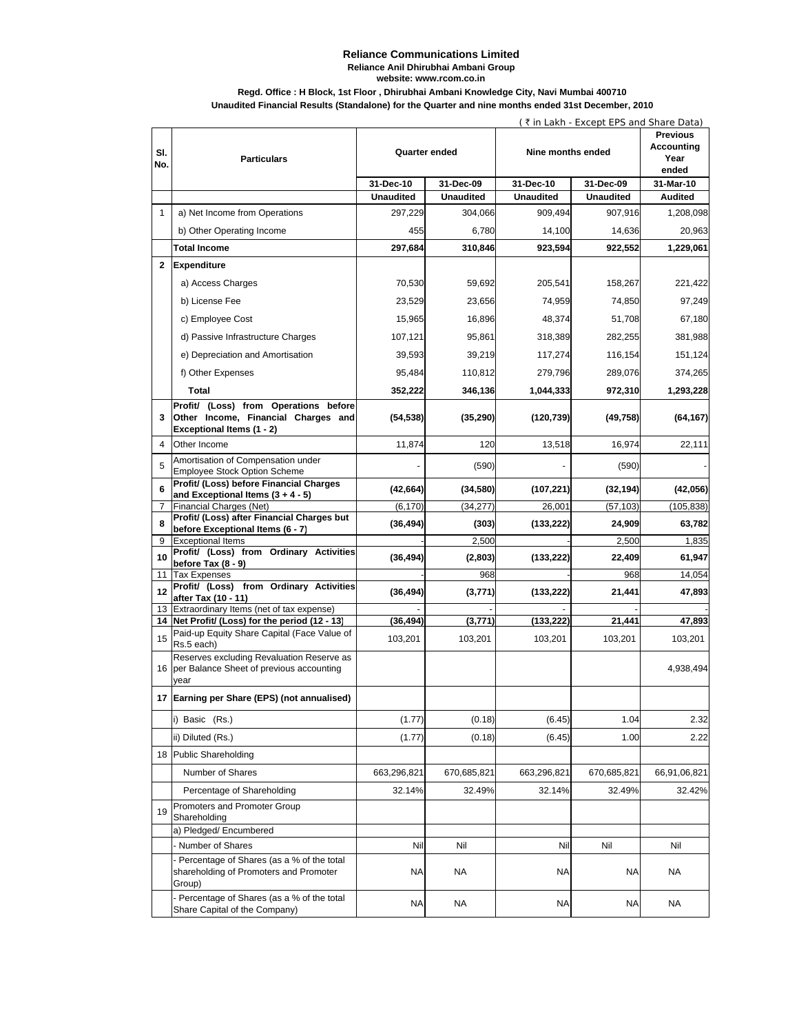#### **Reliance Communications Limited Reliance Anil Dhirubhai Ambani Group**

**website: www.rcom.co.in**

## **Regd. Office : H Block, 1st Floor , Dhirubhai Ambani Knowledge City, Navi Mumbai 400710**

**Unaudited Financial Results (Standalone) for the Quarter and nine months ended 31st December, 2010**

|              |                                                                                                  |                  | ( ₹ in Lakh - Except EPS and Share Data) |                   |                  |                                                       |  |
|--------------|--------------------------------------------------------------------------------------------------|------------------|------------------------------------------|-------------------|------------------|-------------------------------------------------------|--|
| SI.<br>No.   | <b>Particulars</b>                                                                               | Quarter ended    |                                          | Nine months ended |                  | <b>Previous</b><br><b>Accounting</b><br>Year<br>ended |  |
|              |                                                                                                  | 31-Dec-10        | 31-Dec-09                                | 31-Dec-10         | 31-Dec-09        | 31-Mar-10                                             |  |
|              |                                                                                                  | <b>Unaudited</b> | <b>Unaudited</b>                         | <b>Unaudited</b>  | <b>Unaudited</b> | <b>Audited</b>                                        |  |
| $\mathbf{1}$ | a) Net Income from Operations                                                                    | 297,229          | 304,066                                  | 909,494           | 907,916          | 1,208,098                                             |  |
|              | b) Other Operating Income                                                                        | 455              | 6,780                                    | 14,100            | 14,636           | 20,963                                                |  |
|              | <b>Total Income</b>                                                                              | 297,684          | 310,846                                  | 923,594           | 922,552          | 1,229,061                                             |  |
| $\mathbf{2}$ | Expenditure                                                                                      |                  |                                          |                   |                  |                                                       |  |
|              | a) Access Charges                                                                                | 70,530           | 59,692                                   | 205,541           | 158,267          | 221,422                                               |  |
|              | b) License Fee                                                                                   | 23,529           | 23,656                                   | 74,959            | 74,850           | 97,249                                                |  |
|              | c) Employee Cost                                                                                 | 15,965           | 16,896                                   | 48,374            | 51,708           | 67,180                                                |  |
|              | d) Passive Infrastructure Charges                                                                | 107,121          | 95,861                                   | 318,389           | 282,255          | 381,988                                               |  |
|              | e) Depreciation and Amortisation                                                                 | 39,593           | 39,219                                   | 117,274           | 116,154          | 151,124                                               |  |
|              | f) Other Expenses                                                                                | 95,484           | 110,812                                  | 279,796           | 289,076          | 374,265                                               |  |
|              | Total                                                                                            |                  |                                          |                   |                  |                                                       |  |
|              | Profit/ (Loss) from Operations before                                                            | 352,222          | 346,136                                  | 1,044,333         | 972,310          | 1,293,228                                             |  |
| 3            | Other Income, Financial Charges and<br>Exceptional Items (1 - 2)                                 | (54, 538)        | (35, 290)                                | (120, 739)        | (49, 758)        | (64, 167)                                             |  |
| 4            | Other Income                                                                                     | 11,874           | 120                                      | 13,518            | 16,974           | 22,111                                                |  |
| 5            | Amortisation of Compensation under<br><b>Employee Stock Option Scheme</b>                        |                  | (590)                                    |                   | (590)            |                                                       |  |
| 6            | Profit/ (Loss) before Financial Charges<br>and Exceptional Items $(3 + 4 - 5)$                   | (42, 664)        | (34, 580)                                | (107, 221)        | (32, 194)        | (42,056)                                              |  |
| 7            | Financial Charges (Net)                                                                          | (6, 170)         | (34, 277)                                | 26,001            | (57, 103)        | (105, 838)                                            |  |
| 8            | Profit/ (Loss) after Financial Charges but                                                       | (36, 494)        | (303)                                    | (133, 222)        | 24,909           | 63,782                                                |  |
| 9            | before Exceptional Items (6 - 7)<br><b>Exceptional Items</b>                                     |                  | 2,500                                    |                   | 2,500            | 1,835                                                 |  |
| 10           | Profit/ (Loss) from Ordinary Activities                                                          | (36, 494)        | (2,803)                                  | (133, 222)        | 22,409           | 61,947                                                |  |
| 11           | before Tax (8 - 9)<br><b>Tax Expenses</b>                                                        |                  | 968                                      |                   | 968              | 14,054                                                |  |
| 12           | Profit/ (Loss) from Ordinary Activities                                                          | (36, 494)        | (3,771)                                  | (133, 222)        | 21,441           | 47,893                                                |  |
|              | after Tax (10 - 11)<br>13 Extraordinary Items (net of tax expense)                               |                  |                                          |                   |                  |                                                       |  |
|              | 14 Net Profit/ (Loss) for the period (12 - 13)                                                   | (36, 494)        | (3,771)                                  | (133, 222)        | 21,441           | 47,893                                                |  |
| 15           | Paid-up Equity Share Capital (Face Value of<br>Rs.5 each)                                        | 103,201          | 103,201                                  | 103,201           | 103,201          | 103,201                                               |  |
|              | Reserves excluding Revaluation Reserve as<br>16 per Balance Sheet of previous accounting<br>year |                  |                                          |                   |                  | 4,938,494                                             |  |
|              | 17 Earning per Share (EPS) (not annualised)                                                      |                  |                                          |                   |                  |                                                       |  |
|              | i) Basic (Rs.)                                                                                   | (1.77)           | (0.18)                                   | (6.45)            | 1.04             | 2.32                                                  |  |
|              | ii) Diluted (Rs.)                                                                                | (1.77)           | (0.18)                                   | (6.45)            | 1.00             | 2.22                                                  |  |
|              | 18 Public Shareholding                                                                           |                  |                                          |                   |                  |                                                       |  |
|              | Number of Shares                                                                                 | 663,296,821      | 670,685,821                              | 663,296,821       | 670,685,821      | 66,91,06,821                                          |  |
|              | Percentage of Shareholding                                                                       | 32.14%           | 32.49%                                   | 32.14%            | 32.49%           | 32.42%                                                |  |
| 19           | Promoters and Promoter Group<br>Shareholding                                                     |                  |                                          |                   |                  |                                                       |  |
|              | a) Pledged/ Encumbered                                                                           |                  |                                          |                   |                  |                                                       |  |
|              | Number of Shares                                                                                 | Nil              | Nil                                      | Nil               | Nil              | Nil                                                   |  |
|              | - Percentage of Shares (as a % of the total<br>shareholding of Promoters and Promoter<br>Group)  | NA               | <b>NA</b>                                | ΝA                | NA               | <b>NA</b>                                             |  |
|              | - Percentage of Shares (as a % of the total<br>Share Capital of the Company)                     | ΝA               | <b>NA</b>                                | ΝA                | ΝA               | NA                                                    |  |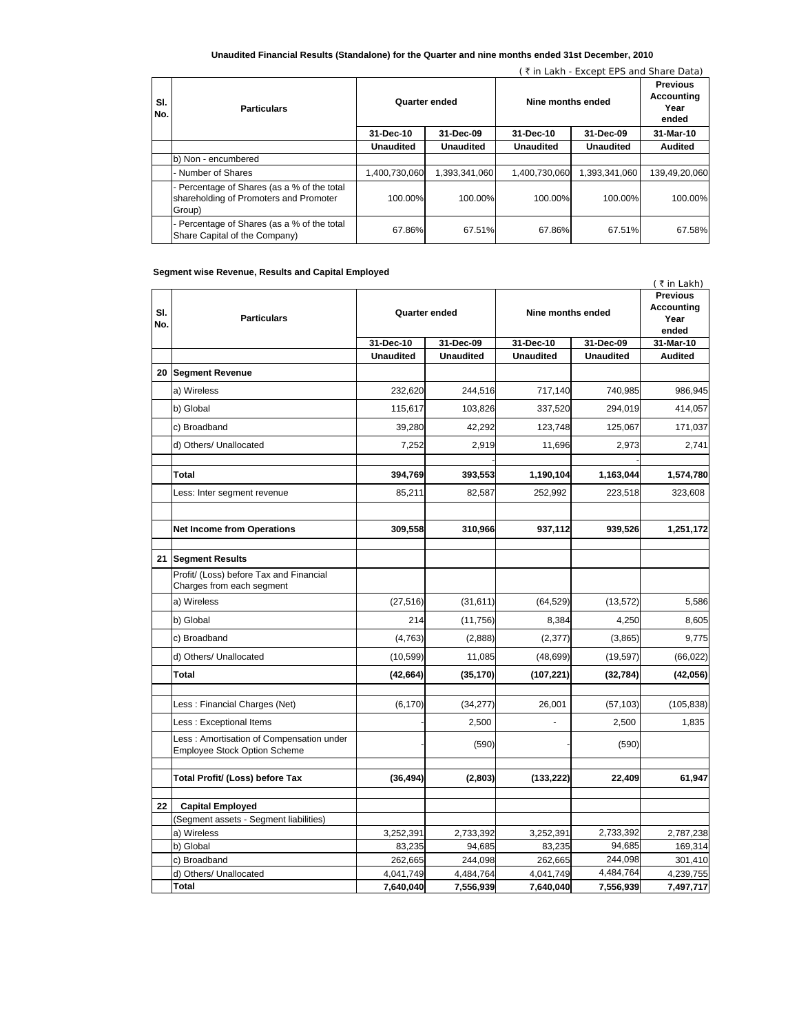### **Unaudited Financial Results (Standalone) for the Quarter and nine months ended 31st December, 2010**

| ₹ in Lakh - Except EPS and Share Data) |                                                                                                 |                  |                  |                   |                  |                                                |
|----------------------------------------|-------------------------------------------------------------------------------------------------|------------------|------------------|-------------------|------------------|------------------------------------------------|
| SI.<br>No.                             | <b>Particulars</b>                                                                              | Quarter ended    |                  | Nine months ended |                  | <b>Previous</b><br>Accounting<br>Year<br>ended |
|                                        |                                                                                                 | 31-Dec-10        | 31-Dec-09        | 31-Dec-10         | 31-Dec-09        | 31-Mar-10                                      |
|                                        |                                                                                                 | <b>Unaudited</b> | <b>Unaudited</b> | <b>Unaudited</b>  | <b>Unaudited</b> | <b>Audited</b>                                 |
|                                        | b) Non - encumbered                                                                             |                  |                  |                   |                  |                                                |
|                                        | - Number of Shares                                                                              | 1,400,730,060    | 1.393.341.060    | 1.400.730.060     | 1.393.341.060    | 139,49,20,060                                  |
|                                        | - Percentage of Shares (as a % of the total<br>shareholding of Promoters and Promoter<br>Group) | 100.00%          | 100.00%          | 100.00%           | 100.00%          | 100.00%                                        |
|                                        | - Percentage of Shares (as a % of the total<br>Share Capital of the Company)                    | 67.86%           | 67.51%           | 67.86%            | 67.51%           | 67.58%                                         |

### **Segment wise Revenue, Results and Capital Employed**

| SI.<br>No. | Segment wise Revenue, Results and Capital Employed<br><b>Particulars</b>  | <b>Quarter ended</b> |                  | Nine months ended |                  | $($ ₹ in Lakh)<br><b>Previous</b><br>Accounting<br>Year<br>ended |
|------------|---------------------------------------------------------------------------|----------------------|------------------|-------------------|------------------|------------------------------------------------------------------|
|            |                                                                           | 31-Dec-10            | 31-Dec-09        | 31-Dec-10         | 31-Dec-09        | 31-Mar-10                                                        |
|            |                                                                           | <b>Unaudited</b>     | <b>Unaudited</b> | <b>Unaudited</b>  | <b>Unaudited</b> | <b>Audited</b>                                                   |
| 20         | <b>Segment Revenue</b>                                                    |                      |                  |                   |                  |                                                                  |
|            | a) Wireless                                                               | 232,620              | 244,516          | 717,140           | 740,985          | 986,945                                                          |
|            | b) Global                                                                 | 115,617              | 103,826          | 337,520           | 294,019          | 414,057                                                          |
|            | c) Broadband                                                              | 39.280               | 42,292           | 123,748           | 125,067          | 171,037                                                          |
|            | d) Others/ Unallocated                                                    | 7,252                | 2,919            | 11,696            | 2,973            | 2,741                                                            |
|            | Total                                                                     | 394,769              | 393,553          | 1,190,104         | 1,163,044        | 1,574,780                                                        |
|            | Less: Inter segment revenue                                               | 85,211               | 82,587           | 252,992           | 223,518          | 323,608                                                          |
|            | <b>Net Income from Operations</b>                                         | 309,558              | 310,966          | 937,112           | 939,526          | 1,251,172                                                        |
| 21         | <b>Segment Results</b>                                                    |                      |                  |                   |                  |                                                                  |
|            | Profit/ (Loss) before Tax and Financial<br>Charges from each segment      |                      |                  |                   |                  |                                                                  |
|            | a) Wireless                                                               | (27, 516)            | (31, 611)        | (64, 529)         | (13, 572)        | 5,586                                                            |
|            | b) Global                                                                 | 214                  | (11,756)         | 8,384             | 4,250            | 8,605                                                            |
|            | c) Broadband                                                              | (4, 763)             | (2,888)          | (2, 377)          | (3,865)          | 9,775                                                            |
|            | d) Others/ Unallocated                                                    | (10, 599)            | 11,085           | (48, 699)         | (19, 597)        | (66, 022)                                                        |
|            | <b>Total</b>                                                              | (42, 664)            | (35, 170)        | (107, 221)        | (32, 784)        | (42, 056)                                                        |
|            | Less: Financial Charges (Net)                                             | (6, 170)             | (34, 277)        | 26,001            | (57, 103)        | (105, 838)                                                       |
|            | Less: Exceptional Items                                                   |                      | 2,500            |                   | 2,500            | 1,835                                                            |
|            | Less : Amortisation of Compensation under<br>Employee Stock Option Scheme |                      | (590)            |                   | (590)            |                                                                  |
|            | Total Profit/ (Loss) before Tax                                           | (36, 494)            | (2,803)          | (133, 222)        | 22,409           | 61,947                                                           |
| 22         | <b>Capital Employed</b>                                                   |                      |                  |                   |                  |                                                                  |
|            | (Segment assets - Segment liabilities)                                    |                      |                  |                   |                  |                                                                  |
|            | a) Wireless                                                               | 3,252,391            | 2,733,392        | 3,252,391         | 2,733,392        | 2,787,238                                                        |
|            | b) Global                                                                 | 83,235               | 94,685           | 83,235            | 94,685           | 169,314                                                          |
|            | c) Broadband                                                              | 262,665              | 244,098          | 262,665           | 244,098          | 301,410                                                          |
|            | d) Others/ Unallocated                                                    | 4,041,749            | 4,484,764        | 4,041,749         | 4,484,764        | 4,239,755                                                        |
|            | <b>Total</b>                                                              | 7,640,040            | 7,556,939        | 7,640,040         | 7,556,939        | 7,497,717                                                        |